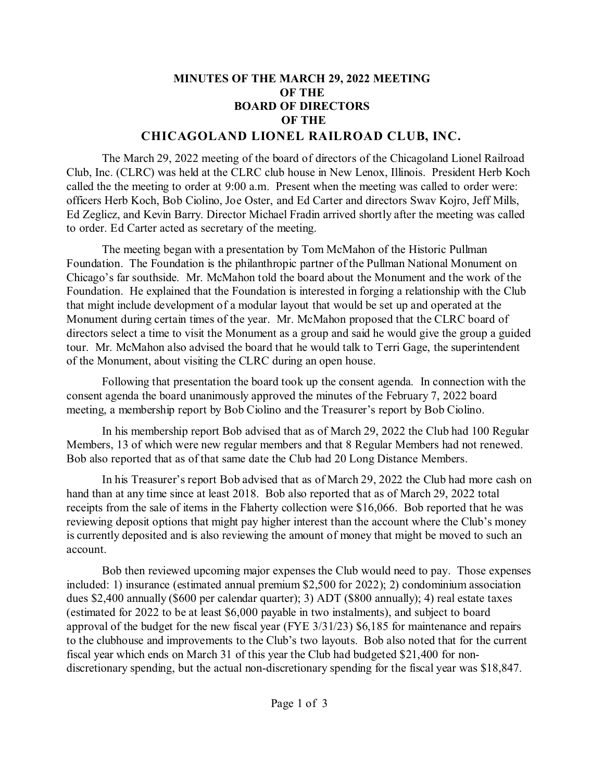## **MINUTES OF THE MARCH 29, 2022 MEETING OF THE BOARD OF DIRECTORS OF THE CHICAGOLAND LIONEL RAILROAD CLUB, INC.**

## The March 29, 2022 meeting of the board of directors of the Chicagoland Lionel Railroad Club, Inc. (CLRC) was held at the CLRC club house in New Lenox, Illinois. President Herb Koch called the the meeting to order at 9:00 a.m. Present when the meeting was called to order were: officers Herb Koch, Bob Ciolino, Joe Oster, and Ed Carter and directors Swav Kojro, Jeff Mills, Ed Zeglicz, and Kevin Barry. Director Michael Fradin arrived shortly after the meeting was called to order. Ed Carter acted as secretary of the meeting.

The meeting began with a presentation by Tom McMahon of the Historic Pullman Foundation. The Foundation is the philanthropic partner of the Pullman National Monument on Chicago's far southside. Mr. McMahon told the board about the Monument and the work of the Foundation. He explained that the Foundation is interested in forging a relationship with the Club that might include development of a modular layout that would be set up and operated at the Monument during certain times of the year. Mr. McMahon proposed that the CLRC board of directors select a time to visit the Monument as a group and said he would give the group a guided tour. Mr. McMahon also advised the board that he would talk to Terri Gage, the superintendent of the Monument, about visiting the CLRC during an open house.

Following that presentation the board took up the consent agenda. In connection with the consent agenda the board unanimously approved the minutes of the February 7, 2022 board meeting, a membership report by Bob Ciolino and the Treasurer's report by Bob Ciolino.

In his membership report Bob advised that as of March 29, 2022 the Club had 100 Regular Members, 13 of which were new regular members and that 8 Regular Members had not renewed. Bob also reported that as of that same date the Club had 20 Long Distance Members.

In his Treasurer's report Bob advised that as of March 29, 2022 the Club had more cash on hand than at any time since at least 2018. Bob also reported that as of March 29, 2022 total receipts from the sale of items in the Flaherty collection were \$16,066. Bob reported that he was reviewing deposit options that might pay higher interest than the account where the Club's money is currently deposited and is also reviewing the amount of money that might be moved to such an account.

Bob then reviewed upcoming major expenses the Club would need to pay. Those expenses included: 1) insurance (estimated annual premium \$2,500 for 2022); 2) condominium association dues \$2,400 annually (\$600 per calendar quarter); 3) ADT (\$800 annually); 4) real estate taxes (estimated for 2022 to be at least \$6,000 payable in two instalments), and subject to board approval of the budget for the new fiscal year (FYE 3/31/23) \$6,185 for maintenance and repairs to the clubhouse and improvements to the Club's two layouts. Bob also noted that for the current fiscal year which ends on March 31 of this year the Club had budgeted \$21,400 for nondiscretionary spending, but the actual non-discretionary spending for the fiscal year was \$18,847.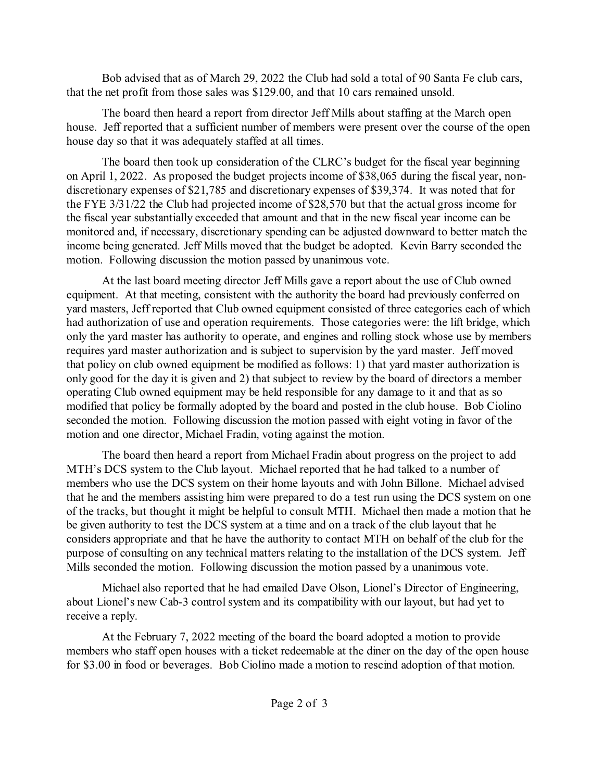Bob advised that as of March 29, 2022 the Club had sold a total of 90 Santa Fe club cars, that the net profit from those sales was \$129.00, and that 10 cars remained unsold.

The board then heard a report from director Jeff Mills about staffing at the March open house. Jeff reported that a sufficient number of members were present over the course of the open house day so that it was adequately staffed at all times.

The board then took up consideration of the CLRC's budget for the fiscal year beginning on April 1, 2022. As proposed the budget projects income of \$38,065 during the fiscal year, nondiscretionary expenses of \$21,785 and discretionary expenses of \$39,374. It was noted that for the FYE 3/31/22 the Club had projected income of \$28,570 but that the actual gross income for the fiscal year substantially exceeded that amount and that in the new fiscal year income can be monitored and, if necessary, discretionary spending can be adjusted downward to better match the income being generated. Jeff Mills moved that the budget be adopted. Kevin Barry seconded the motion. Following discussion the motion passed by unanimous vote.

At the last board meeting director Jeff Mills gave a report about the use of Club owned equipment. At that meeting, consistent with the authority the board had previously conferred on yard masters, Jeff reported that Club owned equipment consisted of three categories each of which had authorization of use and operation requirements. Those categories were: the lift bridge, which only the yard master has authority to operate, and engines and rolling stock whose use by members requires yard master authorization and is subject to supervision by the yard master. Jeff moved that policy on club owned equipment be modified as follows: 1) that yard master authorization is only good for the day it is given and 2) that subject to review by the board of directors a member operating Club owned equipment may be held responsible for any damage to it and that as so modified that policy be formally adopted by the board and posted in the club house. Bob Ciolino seconded the motion. Following discussion the motion passed with eight voting in favor of the motion and one director, Michael Fradin, voting against the motion.

The board then heard a report from Michael Fradin about progress on the project to add MTH's DCS system to the Club layout. Michael reported that he had talked to a number of members who use the DCS system on their home layouts and with John Billone. Michael advised that he and the members assisting him were prepared to do a test run using the DCS system on one of the tracks, but thought it might be helpful to consult MTH. Michael then made a motion that he be given authority to test the DCS system at a time and on a track of the club layout that he considers appropriate and that he have the authority to contact MTH on behalf of the club for the purpose of consulting on any technical matters relating to the installation of the DCS system. Jeff Mills seconded the motion. Following discussion the motion passed by a unanimous vote.

Michael also reported that he had emailed Dave Olson, Lionel's Director of Engineering, about Lionel's new Cab-3 control system and its compatibility with our layout, but had yet to receive a reply.

At the February 7, 2022 meeting of the board the board adopted a motion to provide members who staff open houses with a ticket redeemable at the diner on the day of the open house for \$3.00 in food or beverages. Bob Ciolino made a motion to rescind adoption of that motion.